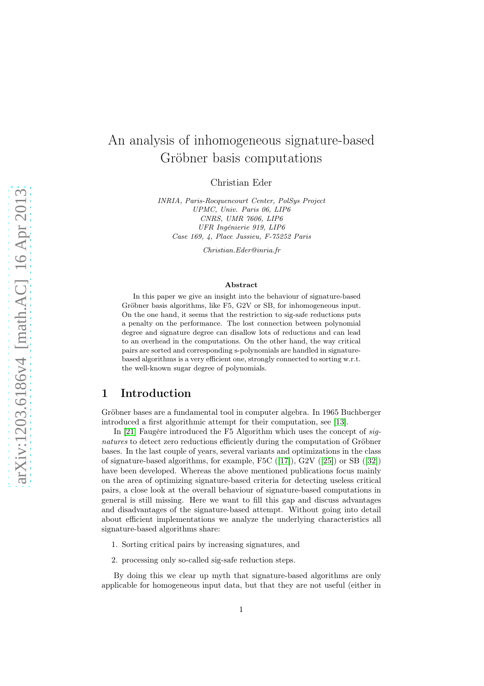# An analysis of inhomogeneous signature-based Gröbner basis computations

Christian Eder

INRIA, Paris-Rocquencourt Center, PolSys Project UPMC, Univ. Paris 06, LIP6 CNRS, UMR 7606, LIP6 UFR Ingénierie 919, LIP6 Case 169, 4, Place Jussieu, F-75252 Paris

Christian.Eder@inria.fr

#### Abstract

In this paper we give an insight into the behaviour of signature-based Gröbner basis algorithms, like F5, G2V or SB, for inhomogeneous input. On the one hand, it seems that the restriction to sig-safe reductions puts a penalty on the performance. The lost connection between polynomial degree and signature degree can disallow lots of reductions and can lead to an overhead in the computations. On the other hand, the way critical pairs are sorted and corresponding s-polynomials are handled in signaturebased algorithms is a very efficient one, strongly connected to sorting w.r.t. the well-known sugar degree of polynomials.

## 1 Introduction

Gröbner bases are a fundamental tool in computer algebra. In 1965 Buchberger introduced a first algorithmic attempt for their computation, see [\[13\]](#page-16-0).

In [\[21\]](#page-16-1) Faugère introduced the F5 Algorithm which uses the concept of signatures to detect zero reductions efficiently during the computation of Gröbner bases. In the last couple of years, several variants and optimizations in the class of signature-based algorithms, for example, F5C ([\[17\]](#page-16-2)), G2V ([\[25\]](#page-17-0)) or SB ([\[32\]](#page-17-1)) have been developed. Whereas the above mentioned publications focus mainly on the area of optimizing signature-based criteria for detecting useless critical pairs, a close look at the overall behaviour of signature-based computations in general is still missing. Here we want to fill this gap and discuss advantages and disadvantages of the signature-based attempt. Without going into detail about efficient implementations we analyze the underlying characteristics all signature-based algorithms share:

- 1. Sorting critical pairs by increasing signatures, and
- 2. processing only so-called sig-safe reduction steps.

By doing this we clear up myth that signature-based algorithms are only applicable for homogeneous input data, but that they are not useful (either in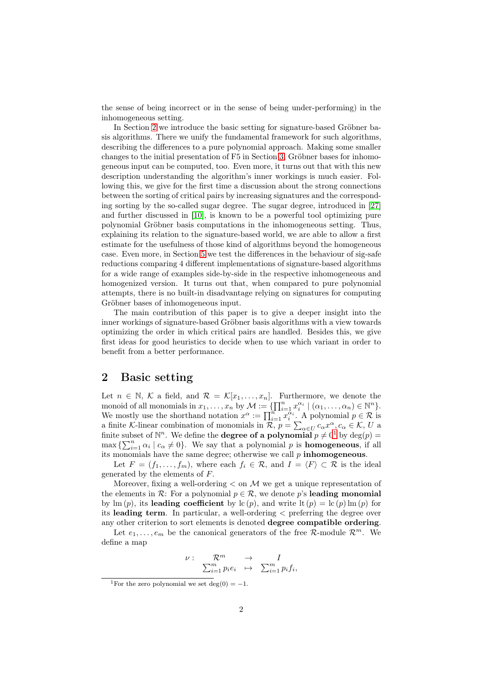the sense of being incorrect or in the sense of being under-performing) in the inhomogeneous setting.

In Section [2](#page-1-0) we introduce the basic setting for signature-based Gröbner basis algorithms. There we unify the fundamental framework for such algorithms, describing the differences to a pure polynomial approach. Making some smaller changes to the initial presentation of F5 in Section [3,](#page-5-0) Gröbner bases for inhomogeneous input can be computed, too. Even more, it turns out that with this new description understanding the algorithm's inner workings is much easier. Following this, we give for the first time a discussion about the strong connections between the sorting of critical pairs by increasing signatures and the corresponding sorting by the so-called sugar degree. The sugar degree, introduced in [\[27\]](#page-17-2) and further discussed in [\[10\]](#page-16-3), is known to be a powerful tool optimizing pure polynomial Gröbner basis computations in the inhomogeneous setting. Thus, explaining its relation to the signature-based world, we are able to allow a first estimate for the usefulness of those kind of algorithms beyond the homogeneous case. Even more, in Section [5](#page-10-0) we test the differences in the behaviour of sig-safe reductions comparing 4 different implementations of signature-based algorithms for a wide range of examples side-by-side in the respective inhomogeneous and homogenized version. It turns out that, when compared to pure polynomial attempts, there is no built-in disadvantage relying on signatures for computing Gröbner bases of inhomogeneous input.

The main contribution of this paper is to give a deeper insight into the inner workings of signature-based Gröbner basis algorithms with a view towards optimizing the order in which critical pairs are handled. Besides this, we give first ideas for good heuristics to decide when to use which variant in order to benefit from a better performance.

### <span id="page-1-0"></span>2 Basic setting

Let  $n \in \mathbb{N}$ , K a field, and  $\mathcal{R} = \mathcal{K}[x_1, \ldots, x_n]$ . Furthermore, we denote the monoid of all monomials in  $x_1, \ldots, x_n$  by  $\mathcal{M} := \{ \prod_{i=1}^n x_i^{\alpha_i} \mid (\alpha_1, \ldots, \alpha_n) \in \mathbb{N}^n \}.$ We mostly use the shorthand notation  $x^{\alpha} := \prod_{i=1}^{n} x_i^{\alpha_i}$ . A polynomial  $p \in \mathcal{R}$  is a finite K-linear combination of monomials in  $\mathcal{R}, p = \sum_{\alpha \in U} c_{\alpha} x^{\alpha}, c_{\alpha} \in \mathcal{K}, U$  a finite subset of  $\mathbb{N}^n$ . We define the **degree of a polynomial**  $p \neq 0^1$  $p \neq 0^1$  by  $\deg(p) =$  $\max\left\{\sum_{i=1}^n \alpha_i \mid c_\alpha \neq 0\right\}$ . We say that a polynomial p is **homogeneous**, if all its monomials have the same degree; otherwise we call  $p$  inhomogeneous.

Let  $F = (f_1, \ldots, f_m)$ , where each  $f_i \in \mathcal{R}$ , and  $I = \langle F \rangle \subset \mathcal{R}$  is the ideal generated by the elements of F.

Moreover, fixing a well-ordering  $\lt$  on M we get a unique representation of the elements in  $\mathcal{R}$ : For a polynomial  $p \in \mathcal{R}$ , we denote p's leading monomial by lm  $(p)$ , its leading coefficient by lc  $(p)$ , and write lt  $(p) = \ln(p) \ln(p)$  for its leading term. In particular, a well-ordering < preferring the degree over any other criterion to sort elements is denoted degree compatible ordering.

Let  $e_1, \ldots, e_m$  be the canonical generators of the free R-module  $\mathcal{R}^m$ . We define a map

$$
\begin{array}{cccc}\nu:&\mathcal{R}^m&\to&I\\ &\sum_{i=1}^m p_ie_i&\mapsto&\sum_{i=1}^m p_if_i,\end{array}
$$

<span id="page-1-1"></span><sup>&</sup>lt;sup>1</sup>For the zero polynomial we set deg(0) =  $-1$ .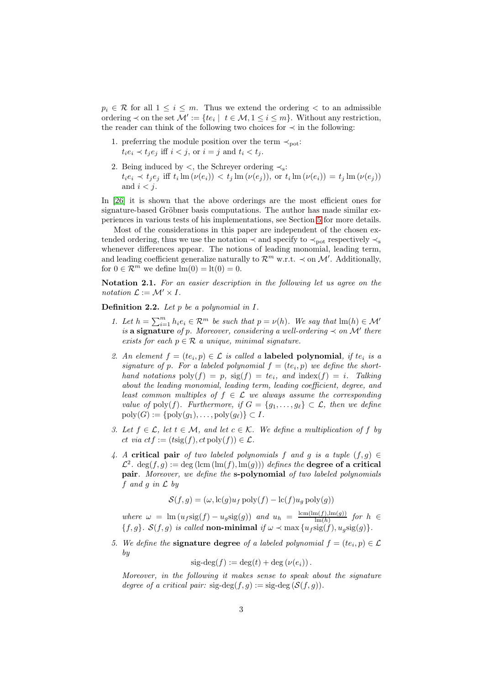$p_i \in \mathcal{R}$  for all  $1 \leq i \leq m$ . Thus we extend the ordering  $\lt$  to an admissible ordering  $\prec$  on the set  $\mathcal{M}' := \{te_i \mid t \in \mathcal{M}, 1 \leq i \leq m\}$ . Without any restriction, the reader can think of the following two choices for  $\prec$  in the following:

- 1. preferring the module position over the term  $\prec_{\text{pot}}$ :  $t_i e_i \prec t_i e_j$  iff  $i < j$ , or  $i = j$  and  $t_i < t_j$ .
- 2. Being induced by  $\lt$ , the Schreyer ordering  $\lt$ s:  $t_i e_i \prec t_j e_j \text{ iff } t_i \text{ Im } (\nu(e_i)) \prec t_j \text{ Im } (\nu(e_j)), \text{ or } t_i \text{ Im } (\nu(e_i)) = t_j \text{ Im } (\nu(e_j))$ and  $i < j$ .

In [\[26\]](#page-17-3) it is shown that the above orderings are the most efficient ones for signature-based Gröbner basis computations. The author has made similar experiences in various tests of his implementations, see Section [5](#page-10-0) for more details.

Most of the considerations in this paper are independent of the chosen extended ordering, thus we use the notation  $\prec$  and specify to  $\prec_{\rm pot}$  respectively  $\prec_{\rm s}$ whenever differences appear. The notions of leading monomial, leading term, and leading coefficient generalize naturally to  $\mathcal{R}^m$  w.r.t.  $\prec$  on M'. Additionally, for  $0 \in \mathcal{R}^m$  we define  $\text{Im}(0) = \text{lt}(0) = 0$ .

Notation 2.1. For an easier description in the following let us agree on the notation  $\mathcal{L} := \mathcal{M}' \times I$ .

**Definition 2.2.** Let  $p$  be a polynomial in  $I$ .

- 1. Let  $h = \sum_{i=1}^{m} h_i e_i \in \mathcal{R}^m$  be such that  $p = \nu(h)$ . We say that  $\text{Im}(h) \in \mathcal{M}'$ is a signature of p. Moreover, considering a well-ordering  $\prec$  on  $\mathcal{M}'$  there exists for each  $p \in \mathcal{R}$  a unique, minimal signature.
- 2. An element  $f = (te_i, p) \in \mathcal{L}$  is called a labeled polynomial, if  $te_i$  is a signature of p. For a labeled polynomial  $f = (te_i, p)$  we define the shorthand notations  $\text{poly}(f) = p$ ,  $\text{sig}(f) = te_i$ , and  $\text{index}(f) = i$ . Talking about the leading monomial, leading term, leading coefficient, degree, and least common multiples of  $f \in \mathcal{L}$  we always assume the corresponding value of poly(f). Furthermore, if  $G = \{g_1, \ldots, g_\ell\} \subset \mathcal{L}$ , then we define  $poly(G) := \{poly(g_1), \ldots, poly(g_\ell)\} \subset I.$
- 3. Let  $f \in \mathcal{L}$ , let  $t \in \mathcal{M}$ , and let  $c \in \mathcal{K}$ . We define a multiplication of f by ct via  $ctf := (t\text{sig}(f), ct\text{ poly}(f)) \in \mathcal{L}$ .
- 4. A critical pair of two labeled polynomials f and g is a tuple  $(f, g) \in$  $\mathcal{L}^2$ . deg $(f,g) := \text{deg}(\text{lcm}(\text{lm}(f),\text{lm}(g)))$  defines the **degree of a critical** pair. Moreover, we define the s-polynomial of two labeled polynomials f and g in  $\mathcal L$  by

$$
\mathcal{S}(f,g) = (\omega, \text{lc}(g)u_f \text{ poly}(f) - \text{lc}(f)u_g \text{ poly}(g))
$$

where  $\omega = \text{lm} (u_f \text{sig}(f) - u_g \text{sig}(g))$  and  $u_h = \frac{\text{lcm}(\text{lm}(f), \text{lm}(g))}{\text{lm}(h)}$  $\frac{\ln(I), \text{Im}(g))}{\ln(h)}$  for  $h \in$  ${f, g}$ .  $S(f, g)$  is called non-minimal if  $\omega \prec \max\{u_f \text{sig}(f), u_g \text{sig}(g)\}.$ 

5. We define the **signature degree** of a labeled polynomial  $f = (te_i, p) \in \mathcal{L}$ by

$$
sig-deg(f) := deg(t) + deg(\nu(e_i)).
$$

Moreover, in the following it makes sense to speak about the signature degree of a critical pair:  $sig-deg(f, q) := sig-deg(S(f, q)).$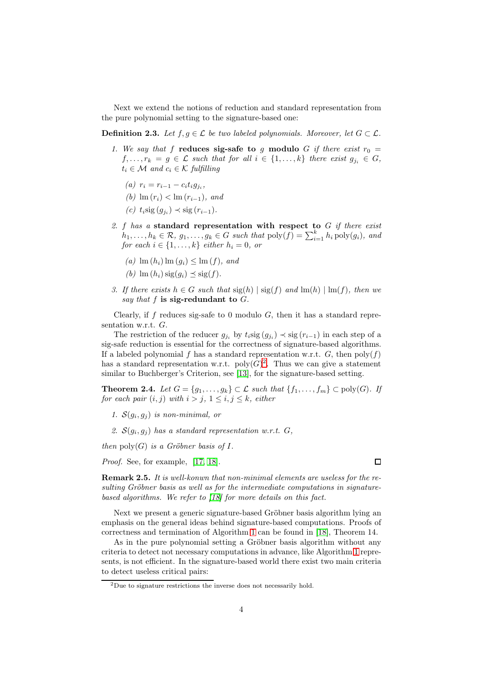Next we extend the notions of reduction and standard representation from the pure polynomial setting to the signature-based one:

**Definition 2.3.** Let  $f, g \in \mathcal{L}$  be two labeled polynomials. Moreover, let  $G \subset \mathcal{L}$ .

- 1. We say that f reduces sig-safe to g modulo G if there exist  $r_0 =$  $f, \ldots, r_k = g \in \mathcal{L}$  such that for all  $i \in \{1, \ldots, k\}$  there exist  $g_{j_i} \in G$ ,  $t_i \in \mathcal{M}$  and  $c_i \in \mathcal{K}$  fulfilling
	- (a)  $r_i = r_{i-1} c_i t_i g_{j_i},$
	- (b)  $\text{Im}(r_i) < \text{Im}(r_{i-1}),$  and
	- (c)  $t_i \text{sig}(g_{j_i}) \prec \text{sig}(r_{i-1}).$
- 2. f has a standard representation with respect to  $G$  if there exist  $h_1, \ldots, h_k \in \mathcal{R}, g_1, \ldots, g_k \in G$  such that  $\text{poly}(f) = \sum_{i=1}^k h_i \text{ poly}(g_i)$ , and for each  $i \in \{1, \ldots, k\}$  either  $h_i = 0$ , or
	- (a)  $\text{Im}(h_i) \text{Im}(q_i) \leq \text{Im}(f)$ , and
	- (b)  $\text{Im}(h_i)$  sig(q<sub>i</sub>)  $\prec$  sig(f).
- 3. If there exists  $h \in G$  such that  $sig(h) | sig(f)$  and  $lm(h) | lm(f)$ , then we say that  $f$  is sig-redundant to  $G$ .

Clearly, if  $f$  reduces sig-safe to 0 modulo  $G$ , then it has a standard representation w.r.t. G.

The restriction of the reducer  $g_{j_i}$  by  $t_i \text{sig}(g_{j_i}) \prec \text{sig}(r_{i-1})$  in each step of a sig-safe reduction is essential for the correctness of signature-based algorithms. If a labeled polynomial f has a standard representation w.r.t. G, then  $poly(f)$ has a standard representation w.r.t.  $\text{poly}(G)^2$  $\text{poly}(G)^2$ . Thus we can give a statement similar to Buchberger's Criterion, see [\[13\]](#page-16-0), for the signature-based setting.

**Theorem 2.4.** Let  $G = \{g_1, \ldots, g_k\} \subset \mathcal{L}$  such that  $\{f_1, \ldots, f_m\} \subset \text{poly}(G)$ . If for each pair  $(i, j)$  with  $i > j$ ,  $1 \leq i, j \leq k$ , either

- 1.  $S(g_i, g_j)$  is non-minimal, or
- 2.  $S(g_i, g_j)$  has a standard representation w.r.t.  $G$ ,

then  $\text{poly}(G)$  is a Gröbner basis of I.

Proof. See, for example, [\[17,](#page-16-2) [18\]](#page-16-4).

**Remark 2.5.** It is well-konwn that non-minimal elements are useless for the resulting Gröbner basis as well as for the intermediate computations in signaturebased algorithms. We refer to [\[18\]](#page-16-4) for more details on this fact.

Next we present a generic signature-based Gröbner basis algorithm lying an emphasis on the general ideas behind signature-based computations. Proofs of correctness and termination of Algorithm [1](#page-4-0) can be found in [\[18\]](#page-16-4), Theorem 14.

As in the pure polynomial setting a Gröbner basis algorithm without any criteria to detect not necessary computations in advance, like Algorithm [1](#page-4-0) represents, is not efficient. In the signature-based world there exist two main criteria to detect useless critical pairs:

 $\Box$ 

<span id="page-3-0"></span><sup>2</sup>Due to signature restrictions the inverse does not necessarily hold.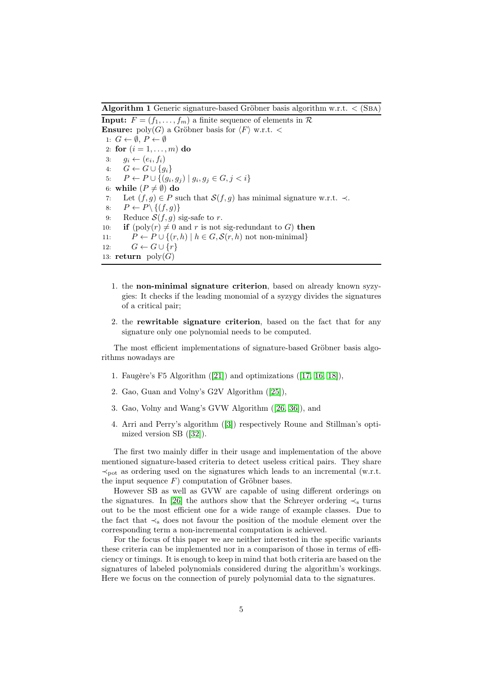<span id="page-4-0"></span>Algorithm 1 Generic signature-based Gröbner basis algorithm w.r.t.  $\langle$  (SBA)

<span id="page-4-1"></span>**Input:**  $F = (f_1, \ldots, f_m)$  a finite sequence of elements in  $\mathcal{R}$ **Ensure:** poly(G) a Gröbner basis for  $\langle F \rangle$  w.r.t. < 1:  $G \leftarrow \emptyset$ ,  $P \leftarrow \emptyset$ 2: for  $(i = 1, ..., m)$  do 3:  $g_i \leftarrow (e_i, f_i)$ 4:  $G \leftarrow G \cup \{g_i\}$ 5:  $P \leftarrow P \cup \{(g_i, g_j) \mid g_i, g_j \in G, j < i\}$ 6: while  $(P \neq \emptyset)$  do 7: Let  $(f, g) \in P$  such that  $\mathcal{S}(f, g)$  has minimal signature w.r.t.  $\prec$ . 8:  $P \leftarrow P \setminus \{(f,g)\}$ 9: Reduce  $S(f, g)$  sig-safe to r. 10: if  $(poly(r) \neq 0$  and r is not sig-redundant to G) then 11:  $P \leftarrow P \cup \{(r, h) \mid h \in G, \mathcal{S}(r, h) \text{ not non-minimal}\}\$ 12:  $G \leftarrow G \cup \{r\}$ 13: return  $\text{poly}(G)$ 

- 1. the non-minimal signature criterion, based on already known syzygies: It checks if the leading monomial of a syzygy divides the signatures of a critical pair;
- 2. the rewritable signature criterion, based on the fact that for any signature only one polynomial needs to be computed.

The most efficient implementations of signature-based Gröbner basis algorithms nowadays are

- 1. Faugère's F5 Algorithm ([\[21\]](#page-16-1)) and optimizations ([\[17,](#page-16-2) [16,](#page-16-5) [18\]](#page-16-4)),
- 2. Gao, Guan and Volny's G2V Algorithm ([\[25\]](#page-17-0)),
- 3. Gao, Volny and Wang's GVW Algorithm ([\[26,](#page-17-3) [36\]](#page-17-4)), and
- 4. Arri and Perry's algorithm ([\[3\]](#page-15-0)) respectively Roune and Stillman's optimized version SB ([\[32\]](#page-17-1)).

The first two mainly differ in their usage and implementation of the above mentioned signature-based criteria to detect useless critical pairs. They share  $\prec_{\text{pot}}$  as ordering used on the signatures which leads to an incremental (w.r.t. the input sequence  $F$ ) computation of Gröbner bases.

However SB as well as GVW are capable of using different orderings on the signatures. In [\[26\]](#page-17-3) the authors show that the Schreyer ordering  $\prec_{s}$  turns out to be the most efficient one for a wide range of example classes. Due to the fact that  $\prec_s$  does not favour the position of the module element over the corresponding term a non-incremental computation is achieved.

For the focus of this paper we are neither interested in the specific variants these criteria can be implemented nor in a comparison of those in terms of efficiency or timings. It is enough to keep in mind that both criteria are based on the signatures of labeled polynomials considered during the algorithm's workings. Here we focus on the connection of purely polynomial data to the signatures.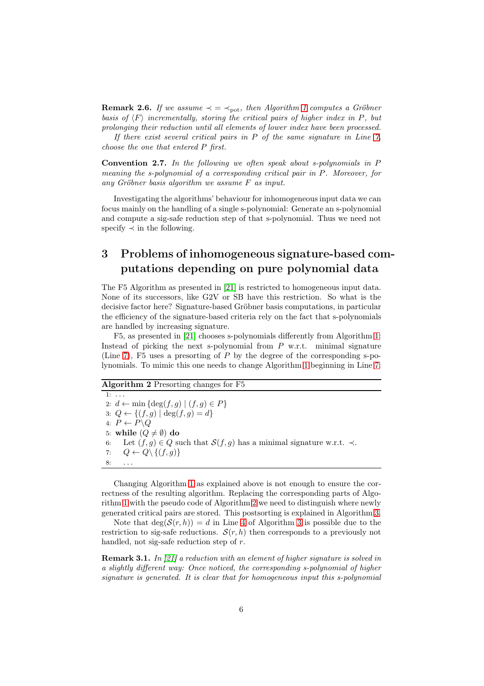**Remark 2.6.** If we assume  $\prec$  =  $\prec_{\text{pot}}$ , then Algorithm [1](#page-4-0) computes a Gröbner basis of  $\langle F \rangle$  incrementally, storing the critical pairs of higher index in P, but prolonging their reduction until all elements of lower index have been processed.

If there exist several critical pairs in  $P$  of the same signature in Line  $7$ , choose the one that entered P first.

Convention 2.7. In the following we often speak about s-polynomials in P meaning the s-polynomial of a corresponding critical pair in P. Moreover, for any Gröbner basis algorithm we assume F as input.

Investigating the algorithms' behaviour for inhomogeneous input data we can focus mainly on the handling of a single s-polynomial: Generate an s-polynomial and compute a sig-safe reduction step of that s-polynomial. Thus we need not specify  $\prec$  in the following.

## <span id="page-5-0"></span>3 Problems of inhomogeneous signature-based computations depending on pure polynomial data

The F5 Algorithm as presented in [\[21\]](#page-16-1) is restricted to homogeneous input data. None of its successors, like G2V or SB have this restriction. So what is the decisive factor here? Signature-based Gröbner basis computations, in particular the efficiency of the signature-based criteria rely on the fact that s-polynomials are handled by increasing signature.

F5, as presented in [\[21\]](#page-16-1) chooses s-polynomials differently from Algorithm [1:](#page-4-0) Instead of picking the next s-polynomial from  $P$  w.r.t. minimal signature (Line [7\)](#page-4-1), F5 uses a presorting of  $P$  by the degree of the corresponding s-polynomials. To mimic this one needs to change Algorithm [1](#page-4-0) beginning in Line [7:](#page-4-1)

<span id="page-5-1"></span>Algorithm 2 Presorting changes for F5

1:  $\dots$ 2:  $d \leftarrow \min \{ \deg(f, g) \mid (f, g) \in P \}$ 3:  $Q \leftarrow \{(f, g) | \deg(f, g) = d\}$ 4:  $P \leftarrow P \backslash Q$ 5: while  $(Q \neq \emptyset)$  do 6: Let  $(f, g) \in Q$  such that  $\mathcal{S}(f, g)$  has a minimal signature w.r.t.  $\prec$ . 7:  $Q \leftarrow Q \setminus \{(f,g)\}$  $8: \qquad \ldots$ 

Changing Algorithm [1](#page-4-0) as explained above is not enough to ensure the correctness of the resulting algorithm. Replacing the corresponding parts of Algorithm [1](#page-4-0) with the pseudo code of Algorithm [2](#page-5-1) we need to distinguish where newly generated critical pairs are stored. This postsorting is explained in Algorithm [3.](#page-6-0)

Note that  $\deg(\mathcal{S}(r, h)) = d$  in Line [4](#page-6-1) of Algorithm [3](#page-6-0) is possible due to the restriction to sig-safe reductions.  $\mathcal{S}(r, h)$  then corresponds to a previously not handled, not sig-safe reduction step of r.

**Remark 3.1.** In [\[21\]](#page-16-1) a reduction with an element of higher signature is solved in a slightly different way: Once noticed, the corresponding s-polynomial of higher signature is generated. It is clear that for homogeneous input this s-polynomial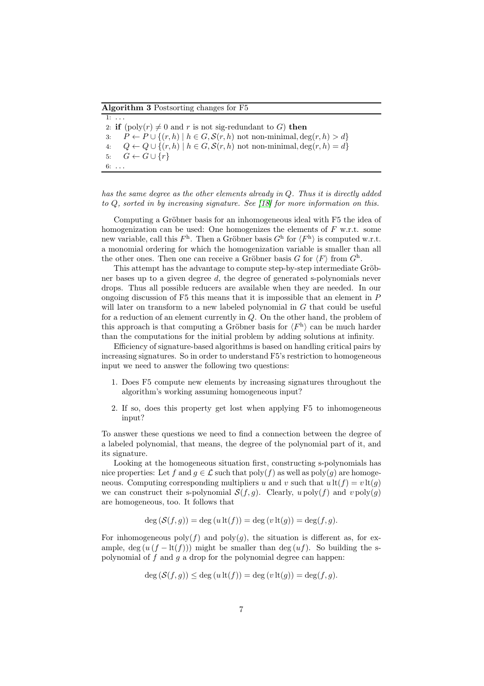<span id="page-6-0"></span>Algorithm 3 Postsorting changes for F5

<span id="page-6-1"></span>1: . . . 2: if  $(poly(r) \neq 0$  and r is not sig-redundant to G) then 3:  $P \leftarrow P \cup \{(r, h) \mid h \in G, \mathcal{S}(r, h) \text{ not non-minimal}, \deg(r, h) > d\}$ 4:  $Q \leftarrow Q \cup \{(r, h) \mid h \in G, \mathcal{S}(r, h) \text{ not non-minimal}, \deg(r, h) = d\}$ 5:  $G \leftarrow G \cup \{r\}$  $6: \ldots$ 

has the same degree as the other elements already in Q. Thus it is directly added to Q, sorted in by increasing signature. See [\[18\]](#page-16-4) for more information on this.

Computing a Gröbner basis for an inhomogeneous ideal with F5 the idea of homogenization can be used: One homogenizes the elements of  $F$  w.r.t. some new variable, call this  $F^{\text{h}}$ . Then a Gröbner basis  $G^{\text{h}}$  for  $\langle F^{\text{h}} \rangle$  is computed w.r.t. a monomial ordering for which the homogenization variable is smaller than all the other ones. Then one can receive a Gröbner basis G for  $\langle F \rangle$  from  $G^{\text{h}}$ .

This attempt has the advantage to compute step-by-step intermediate Gröbner bases up to a given degree d, the degree of generated s-polynomials never drops. Thus all possible reducers are available when they are needed. In our ongoing discussion of  $F5$  this means that it is impossible that an element in  $P$ will later on transform to a new labeled polynomial in  $G$  that could be useful for a reduction of an element currently in Q. On the other hand, the problem of this approach is that computing a Gröbner basis for  $\langle F^{\rm h} \rangle$  can be much harder than the computations for the initial problem by adding solutions at infinity.

Efficiency of signature-based algorithms is based on handling critical pairs by increasing signatures. So in order to understand F5's restriction to homogeneous input we need to answer the following two questions:

- 1. Does F5 compute new elements by increasing signatures throughout the algorithm's working assuming homogeneous input?
- 2. If so, does this property get lost when applying F5 to inhomogeneous input?

To answer these questions we need to find a connection between the degree of a labeled polynomial, that means, the degree of the polynomial part of it, and its signature.

Looking at the homogeneous situation first, constructing s-polynomials has nice properties: Let f and  $g \in \mathcal{L}$  such that  $\text{poly}(f)$  as well as  $\text{poly}(g)$  are homogeneous. Computing corresponding multipliers u and v such that  $u \, \text{lt}(f) = v \, \text{lt}(q)$ we can construct their s-polynomial  $S(f, g)$ . Clearly, u poly $(f)$  and  $v$  poly $(g)$ are homogeneous, too. It follows that

$$
\deg\left(\mathcal{S}(f,g)\right) = \deg\left(u\operatorname{lt}(f)\right) = \deg\left(v\operatorname{lt}(g)\right) = \deg(f,g).
$$

For inhomogeneous  $poly(f)$  and  $poly(g)$ , the situation is different as, for example, deg  $(u (f - \text{lt}(f)))$  might be smaller than deg  $(uf)$ . So building the spolynomial of f and g a drop for the polynomial degree can happen:

$$
\deg(\mathcal{S}(f,g)) \le \deg(u \operatorname{lt}(f)) = \deg(v \operatorname{lt}(g)) = \deg(f,g).
$$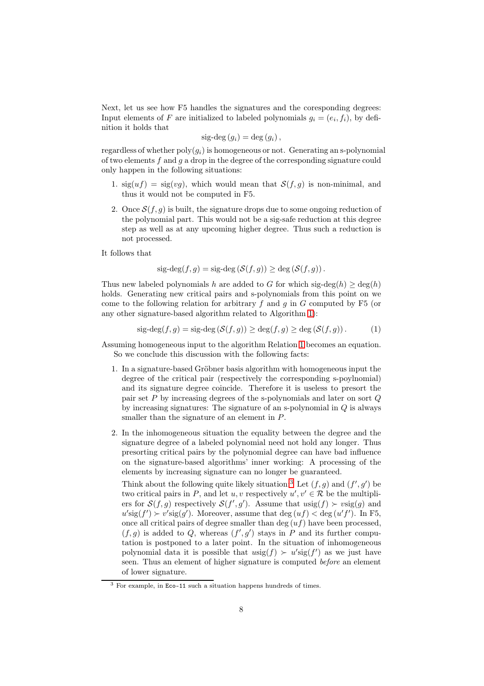Next, let us see how F5 handles the signatures and the coresponding degrees: Input elements of F are initialized to labeled polynomials  $g_i = (e_i, f_i)$ , by definition it holds that

$$
sig-deg (g_i) = deg (g_i),
$$

regardless of whether  $poly(q_i)$  is homogeneous or not. Generating an s-polynomial of two elements f and q a drop in the degree of the corresponding signature could only happen in the following situations:

- 1.  $sig(uf) = sig(vg)$ , which would mean that  $S(f, g)$  is non-minimal, and thus it would not be computed in F5.
- 2. Once  $S(f, q)$  is built, the signature drops due to some ongoing reduction of the polynomial part. This would not be a sig-safe reduction at this degree step as well as at any upcoming higher degree. Thus such a reduction is not processed.

It follows that

$$
sig-deg(f,g) = sig-deg(S(f,g)) \geq deg(S(f,g)).
$$

Thus new labeled polynomials h are added to G for which sig-deg(h)  $\geq$  deg(h) holds. Generating new critical pairs and s-polynomials from this point on we come to the following relation for arbitrary f and q in G computed by  $F5$  (or any other signature-based algorithm related to Algorithm [1\)](#page-4-0):

<span id="page-7-0"></span>
$$
sig-deg(f,g) = sig-deg(S(f,g)) \ge deg(f,g) \ge deg(S(f,g)).
$$
 (1)

Assuming homogeneous input to the algorithm Relation [1](#page-7-0) becomes an equation. So we conclude this discussion with the following facts:

- 1. In a signature-based Gröbner basis algorithm with homogeneous input the degree of the critical pair (respectively the corresponding s-poylnomial) and its signature degree coincide. Therefore it is useless to presort the pair set  $P$  by increasing degrees of the s-polynomials and later on sort  $Q$ by increasing signatures: The signature of an s-polynomial in Q is always smaller than the signature of an element in P.
- 2. In the inhomogeneous situation the equality between the degree and the signature degree of a labeled polynomial need not hold any longer. Thus presorting critical pairs by the polynomial degree can have bad influence on the signature-based algorithms' inner working: A processing of the elements by increasing signature can no longer be guaranteed.

Think about the following quite likely situation:<sup>[3](#page-7-1)</sup> Let  $(f, g)$  and  $(f', g')$  be two critical pairs in P, and let u, v respectively  $u', v' \in \mathcal{R}$  be the multipliers for  $\mathcal{S}(f,g)$  respectively  $\mathcal{S}(f',g')$ . Assume that  $u\text{sig}(f) \succ v\text{sig}(g)$  and  $u' \text{sig}(f') \succ v' \text{sig}(g')$ . Moreover, assume that deg  $(uf) < \text{deg}(u'f')$ . In F5, once all critical pairs of degree smaller than deg  $(uf)$  have been processed,  $(f,g)$  is added to Q, whereas  $(f',g')$  stays in P and its further computation is postponed to a later point. In the situation of inhomogeneous polynomial data it is possible that  $usig(f) \succ u'sig(f')$  as we just have seen. Thus an element of higher signature is computed before an element of lower signature.

<span id="page-7-1"></span><sup>3</sup> For example, in Eco-11 such a situation happens hundreds of times.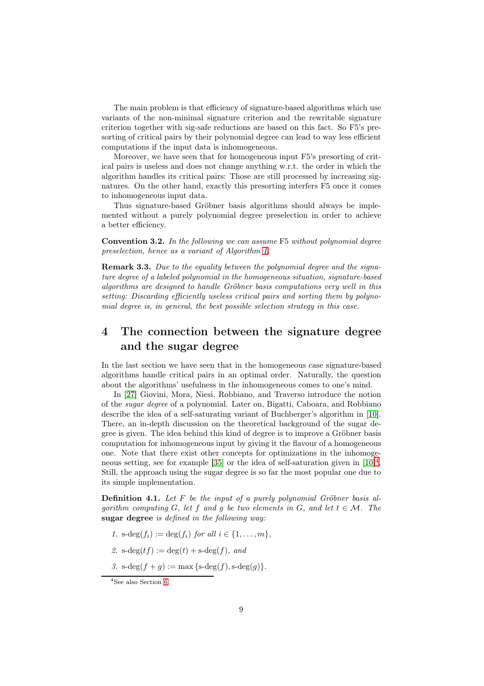The main problem is that efficiency of signature-based algorithms which use variants of the non-minimal signature criterion and the rewritable signature criterion together with sig-safe reductions are based on this fact. So F5's presorting of critical pairs by their polynomial degree can lead to way less efficient computations if the input data is inhomogeneous.

Moreover, we have seen that for homogeneous input F5's presorting of critical pairs is useless and does not change anything w.r.t. the order in which the algorithm handles its critical pairs: Those are still processed by increasing signatures. On the other hand, exactly this presorting interfers F5 once it comes to inhomogeneous input data.

Thus signature-based Gröbner basis algorithms should always be implemented without a purely polynomial degree preselection in order to achieve a better efficiency.

Convention 3.2. In the following we can assume F5 without polynomial degree preselection, hence as a variant of Algorithm [1.](#page-4-0)

**Remark 3.3.** Due to the equality between the polynomial degree and the signature degree of a labeled polynomial in the homogeneous situation, signature-based algorithms are designed to handle Gröbner basis computations very well in this setting: Discarding efficiently useless critical pairs and sorting them by polynomial degree is, in general, the best possible selection strategy in this case.

## <span id="page-8-1"></span>4 The connection between the signature degree and the sugar degree

In the last section we have seen that in the homogeneous case signature-based algorithms handle critical pairs in an optimal order. Naturally, the question about the algorithms' usefulness in the inhomogeneous comes to one's mind.

In [\[27\]](#page-17-2) Giovini, Mora, Niesi, Robbiano, and Traverso introduce the notion of the sugar degree of a polynomial. Later on, Bigatti, Caboara, and Robbiano describe the idea of a self-saturating variant of Buchberger's algorithm in [\[10\]](#page-16-3). There, an in-depth discussion on the theoretical background of the sugar degree is given. The idea behind this kind of degree is to improve a Gröbner basis computation for inhomogeneous input by giving it the flavour of a homogeneous one. Note that there exist other concepts for optimizations in the inhomoge-neous setting, see for example [\[35\]](#page-17-5) or the idea of self-saturation given in  $[10]^4$  $[10]^4$ . Still, the approach using the sugar degree is so far the most popular one due to its simple implementation.

**Definition 4.1.** Let  $F$  be the input of a purely polynomial Gröbner basis algorithm computing G, let f and g be two elements in G, and let  $t \in \mathcal{M}$ . The sugar degree is defined in the following way:

- 1. s-deg $(f_i) := \deg(f_i)$  for all  $i \in \{1, ..., m\},$
- 2.  $s-deg(t f) := deg(t) + s-deg(f)$ , and
- 3.  $s-\deg(f+q) := \max\{s-\deg(f), s-\deg(g)\}.$

<span id="page-8-0"></span><sup>4</sup>See also Section [6.](#page-13-0)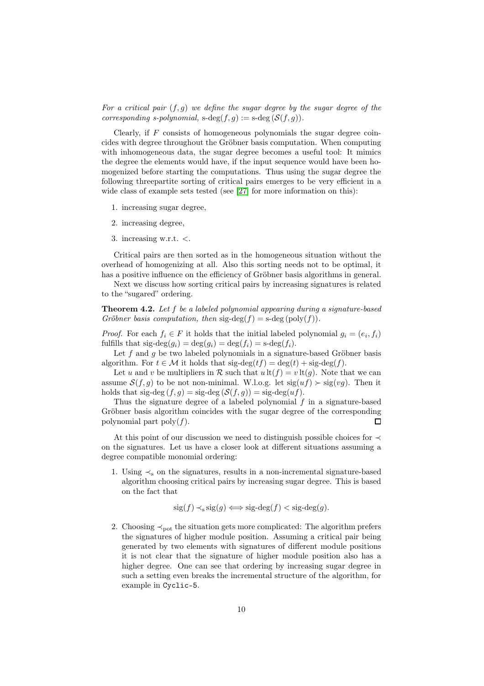For a critical pair  $(f, g)$  we define the sugar degree by the sugar degree of the corresponding s-polynomial,  $s-\deg(f, q) := s-\deg(S(f, q)).$ 

Clearly, if  $F$  consists of homogeneous polynomials the sugar degree coincides with degree throughout the Gröbner basis computation. When computing with inhomogeneous data, the sugar degree becomes a useful tool: It mimics the degree the elements would have, if the input sequence would have been homogenized before starting the computations. Thus using the sugar degree the following threepartite sorting of critical pairs emerges to be very efficient in a wide class of example sets tested (see [\[27\]](#page-17-2) for more information on this):

- 1. increasing sugar degree,
- 2. increasing degree,
- 3. increasing w.r.t. <.

Critical pairs are then sorted as in the homogeneous situation without the overhead of homogenizing at all. Also this sorting needs not to be optimal, it has a positive influence on the efficiency of Gröbner basis algorithms in general.

Next we discuss how sorting critical pairs by increasing signatures is related to the "sugared" ordering.

**Theorem 4.2.** Let f be a labeled polynomial appearing during a signature-based Gröbner basis computation, then  $sig-deg(f) = s-deg(\text{poly}(f)).$ 

*Proof.* For each  $f_i \in F$  it holds that the initial labeled polynomial  $g_i = (e_i, f_i)$ fulfills that  $sig-deg(g_i) = deg(g_i) = deg(f_i) = s-deg(f_i)$ .

Let  $f$  and  $g$  be two labeled polynomials in a signature-based Gröbner basis algorithm. For  $t \in \mathcal{M}$  it holds that  $sig-deg(t f) = deg(t) + sig-deg(f)$ .

Let u and v be multipliers in R such that  $u \, \text{lt}(f) = v \, \text{lt}(q)$ . Note that we can assume  $S(f, g)$  to be not non-minimal. W.l.o.g. let  $sig(uf) \succ sig(vg)$ . Then it holds that sig-deg  $(f, g)$  = sig-deg  $(S(f, g))$  = sig-deg $(uf)$ .

Thus the signature degree of a labeled polynomial f in a signature-based Gröbner basis algorithm coincides with the sugar degree of the corresponding polynomial part  $\text{poly}(f)$ .  $\Box$ 

At this point of our discussion we need to distinguish possible choices for ≺ on the signatures. Let us have a closer look at different situations assuming a degree compatible monomial ordering:

1. Using  $\prec_s$  on the signatures, results in a non-incremental signature-based algorithm choosing critical pairs by increasing sugar degree. This is based on the fact that

$$
sig(f) \prec_s sig(g) \iff sig-deg(f) < sig-deg(g).
$$

2. Choosing  $\prec_{\text{pot}}$  the situation gets more complicated: The algorithm prefers the signatures of higher module position. Assuming a critical pair being generated by two elements with signatures of different module positions it is not clear that the signature of higher module position also has a higher degree. One can see that ordering by increasing sugar degree in such a setting even breaks the incremental structure of the algorithm, for example in Cyclic-5.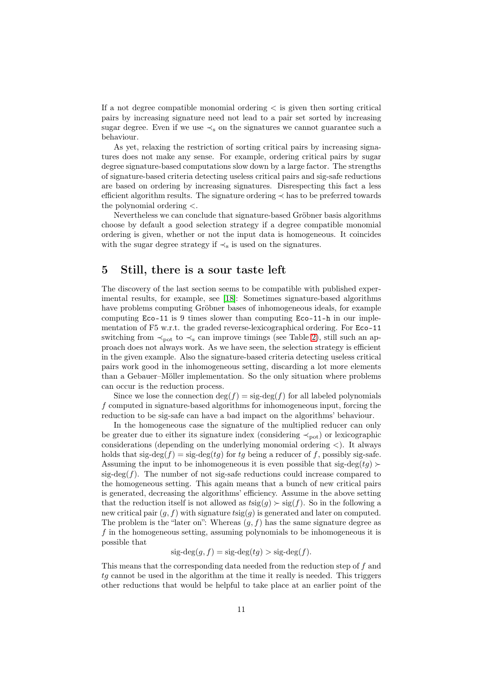If a not degree compatible monomial ordering  $\lt$  is given then sorting critical pairs by increasing signature need not lead to a pair set sorted by increasing sugar degree. Even if we use  $\prec_s$  on the signatures we cannot guarantee such a behaviour.

As yet, relaxing the restriction of sorting critical pairs by increasing signatures does not make any sense. For example, ordering critical pairs by sugar degree signature-based computations slow down by a large factor. The strengths of signature-based criteria detecting useless critical pairs and sig-safe reductions are based on ordering by increasing signatures. Disrespecting this fact a less efficient algorithm results. The signature ordering ≺ has to be preferred towards the polynomial ordering <.

Nevertheless we can conclude that signature-based Gröbner basis algorithms choose by default a good selection strategy if a degree compatible monomial ordering is given, whether or not the input data is homogeneous. It coincides with the sugar degree strategy if  $\prec_s$  is used on the signatures.

### <span id="page-10-0"></span>5 Still, there is a sour taste left

The discovery of the last section seems to be compatible with published experimental results, for example, see [\[18\]](#page-16-4): Sometimes signature-based algorithms have problems computing Gröbner bases of inhomogeneous ideals, for example computing Eco-11 is 9 times slower than computing Eco-11-h in our implementation of F5 w.r.t. the graded reverse-lexicographical ordering. For Eco-11 switching from  $\prec_{\text{not}}$  to  $\prec_{\text{s}}$  can improve timings (see Table [2\)](#page-12-0), still such an approach does not always work. As we have seen, the selection strategy is efficient in the given example. Also the signature-based criteria detecting useless critical pairs work good in the inhomogeneous setting, discarding a lot more elements than a Gebauer–Möller implementation. So the only situation where problems can occur is the reduction process.

Since we lose the connection  $\deg(f) = \text{sig-deg}(f)$  for all labeled polynomials f computed in signature-based algorithms for inhomogeneous input, forcing the reduction to be sig-safe can have a bad impact on the algorithms' behaviour.

In the homogeneous case the signature of the multiplied reducer can only be greater due to either its signature index (considering  $\prec_{\text{pot}}$ ) or lexicographic considerations (depending on the underlying monomial ordering  $\langle \cdot \rangle$ ). It always holds that sig-deg( $f$ ) = sig-deg( $tg$ ) for  $tg$  being a reducer of f, possibly sig-safe. Assuming the input to be inhomogeneous it is even possible that sig-deg(tq)  $\succ$ sig-deg $(f)$ . The number of not sig-safe reductions could increase compared to the homogeneous setting. This again means that a bunch of new critical pairs is generated, decreasing the algorithms' efficiency. Assume in the above setting that the reduction itself is not allowed as  $t\text{sig}(g) \succ \text{sig}(f)$ . So in the following a new critical pair  $(g, f)$  with signature  $t\text{sig}(g)$  is generated and later on computed. The problem is the "later on": Whereas  $(g, f)$  has the same signature degree as f in the homogeneous setting, assuming polynomials to be inhomogeneous it is possible that

 $sig-deg(q, f) = sig-deg(tq) > sig-deg(f).$ 

This means that the corresponding data needed from the reduction step of f and  $tq$  cannot be used in the algorithm at the time it really is needed. This triggers other reductions that would be helpful to take place at an earlier point of the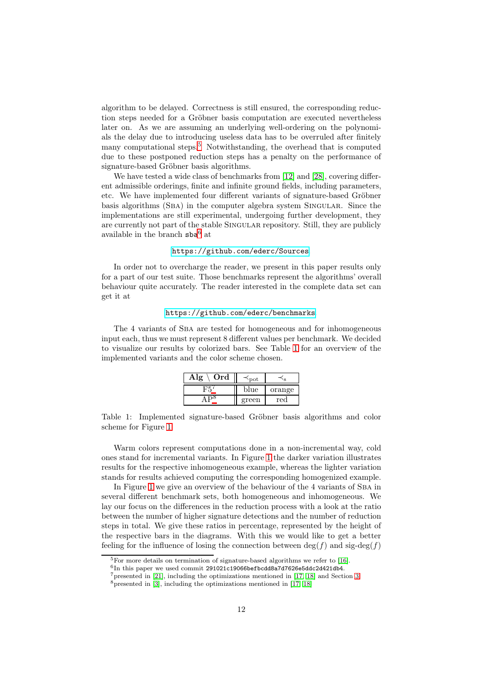algorithm to be delayed. Correctness is still ensured, the corresponding reduction steps needed for a Gröbner basis computation are executed nevertheless later on. As we are assuming an underlying well-ordering on the polynomials the delay due to introducing useless data has to be overruled after finitely many computational steps.[5](#page-11-0) Notwithstanding, the overhead that is computed due to these postponed reduction steps has a penalty on the performance of signature-based Gröbner basis algorithms.

We have tested a wide class of benchmarks from [\[12\]](#page-16-6) and [\[28\]](#page-17-6), covering different admissible orderings, finite and infinite ground fields, including parameters, etc. We have implemented four different variants of signature-based Gröbner basis algorithms (Sba) in the computer algebra system Singular. Since the implementations are still experimental, undergoing further development, they are currently not part of the stable SINGULAR repository. Still, they are publicly available in the branch sba<sup>[6](#page-11-1)</sup> at

#### <https://github.com/ederc/Sources>.

In order not to overcharge the reader, we present in this paper results only for a part of our test suite. Those benchmarks represent the algorithms' overall behaviour quite accurately. The reader interested in the complete data set can get it at

#### <https://github.com/ederc/benchmarks>.

The 4 variants of Sba are tested for homogeneous and for inhomogeneous input each, thus we must represent 8 different values per benchmark. We decided to visualize our results by colorized bars. See Table [1](#page-11-2) for an overview of the implemented variants and the color scheme chosen.

| Ord<br>lœ | οt    |        |
|-----------|-------|--------|
|           | blue  | orange |
|           | green | rec    |

<span id="page-11-2"></span>Table 1: Implemented signature-based Gröbner basis algorithms and color scheme for Figure [1](#page-14-0)

Warm colors represent computations done in a non-incremental way, cold ones stand for incremental variants. In Figure [1](#page-14-0) the darker variation illustrates results for the respective inhomogeneous example, whereas the lighter variation stands for results achieved computing the corresponding homogenized example.

In Figure [1](#page-14-0) we give an overview of the behaviour of the 4 variants of Sba in several different benchmark sets, both homogeneous and inhomogeneous. We lay our focus on the differences in the reduction process with a look at the ratio between the number of higher signature detections and the number of reduction steps in total. We give these ratios in percentage, represented by the height of the respective bars in the diagrams. With this we would like to get a better feeling for the influence of losing the connection between  $\deg(f)$  and  $\text{sig-deg}(f)$ 

 $5$ For more details on termination of signature-based algorithms we refer to [\[16\]](#page-16-5).

<span id="page-11-0"></span><sup>&</sup>lt;sup>6</sup>In this paper we used commit 291021c19066befbcdd8a7d7626e5ddc2d421db4.

<span id="page-11-3"></span><span id="page-11-1"></span><sup>7</sup>presented in [\[21\]](#page-16-1), including the optimizations mentioned in [\[17,](#page-16-2) [18\]](#page-16-4) and Section [3](#page-5-0)

<sup>&</sup>lt;sup>8</sup>presented in [\[3\]](#page-15-0), including the optimizations mentioned in [\[17,](#page-16-2) [18\]](#page-16-4)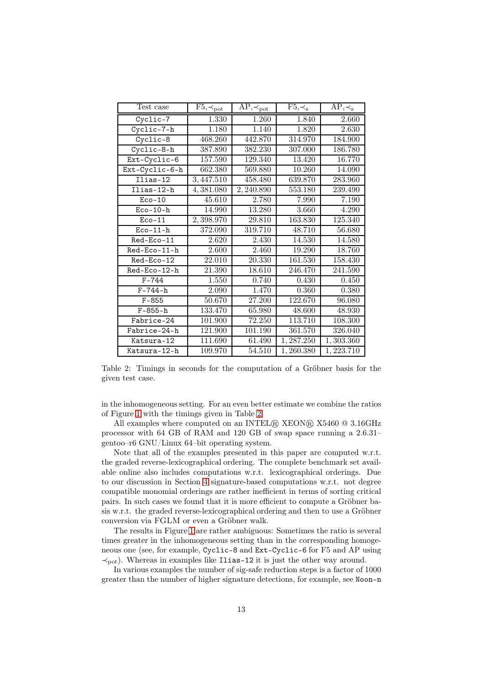| Test case      | $F5, \prec_{pot}$ | $AP, \prec_{pot}$ | $F5, \prec_s$ | $AP, \prec_s$       |
|----------------|-------------------|-------------------|---------------|---------------------|
| Cyclic-7       | 1.330             | 1.260             | 1.840         | 2.660               |
| Cyclic-7-h     | 1.180             | 1.140             | 1.820         | 2.630               |
| Cyclic-8       | 468.260           | 442.870           | 314.970       | 184.900             |
| Cyclic-8-h     | 387.890           | 382.230           | 307.000       | 186.780             |
| Ext-Cyclic-6   | 157.590           | 129.340           | 13.420        | 16.770              |
| Ext-Cyclic-6-h | 662.380           | 569.880           | 10.260        | 14.090              |
| $Ilias-12$     | 3,447.510         | 458.480           | 639.870       | 283.960             |
| Ilias-12-h     | 4,381.080         | 2,240.890         | 553.180       | 239.490             |
| $Eco-10$       | 45.610            | 2.780             | 7.990         | 7.190               |
| $Eco-10-h$     | 14.990            | 13.280            | 3.660         | 4.290               |
| $Eco-11$       | 2,398.970         | 29.810            | 163.830       | 125.340             |
| $Eco-11-h$     | 372.090           | 319.710           | 48.710        | $\overline{56.680}$ |
| Red-Eco-11     | 2.620             | 2.430             | 14.530        | 14.580              |
| Red-Eco-11-h   | 2.600             | 2.460             | 19.290        | 18.760              |
| Red-Eco-12     | 22.010            | 20.330            | 161.530       | 158.430             |
| Red-Eco-12-h   | 21.390            | 18.610            | 246.470       | 241.590             |
| $F - 744$      | 1.550             | 0.740             | 0.430         | 0.450               |
| $F - 744 - h$  | 2.090             | 1.470             | 0.360         | 0.380               |
| $F - 855$      | 50.670            | 27.200            | 122.670       | 96.080              |
| $F-855-h$      | 133.470           | 65.980            | 48.600        | 48.930              |
| Fabrice-24     | 101.900           | 72.250            | 113.710       | 108.300             |
| Fabrice-24-h   | 121.900           | 101.190           | 361.570       | 326.040             |
| Katsura-12     | 111.690           | 61.490            | 1,287.250     | 1,303.360           |
| Katsura-12-h   | 109.970           | 54.510            | 1,260.380     | 1,223.710           |

<span id="page-12-0"></span>Table 2: Timings in seconds for the computation of a Gröbner basis for the given test case.

in the inhomogeneous setting. For an even better estimate we combine the ratios of Figure [1](#page-14-0) with the timings given in Table [2.](#page-12-0)

All examples where computed on an INTEL® XEON® X5460 @ 3.16GHz processor with 64 GB of RAM and 120 GB of swap space running a 2.6.31– gentoo–r6 GNU/Linux 64–bit operating system.

Note that all of the examples presented in this paper are computed w.r.t. the graded reverse-lexicographical ordering. The complete benchmark set available online also includes computations w.r.t. lexicographical orderings. Due to our discussion in Section [4](#page-8-1) signature-based computations w.r.t. not degree compatible monomial orderings are rather inefficient in terms of sorting critical pairs. In such cases we found that it is more efficient to compute a Gröbner basis w.r.t. the graded reverse-lexicographical ordering and then to use a Gröbner conversion via FGLM or even a Gröbner walk.

The results in Figure [1](#page-14-0) are rather ambiguous: Sometimes the ratio is several times greater in the inhomogeneous setting than in the corresponding homogeneous one (see, for example, Cyclic-8 and Ext-Cyclic-6 for F5 and AP using  $\prec_{\text{pot}}$ ). Whereas in examples like Ilias-12 it is just the other way around.

In various examples the number of sig-safe reduction steps is a factor of 1000 greater than the number of higher signature detections, for example, see Noon-n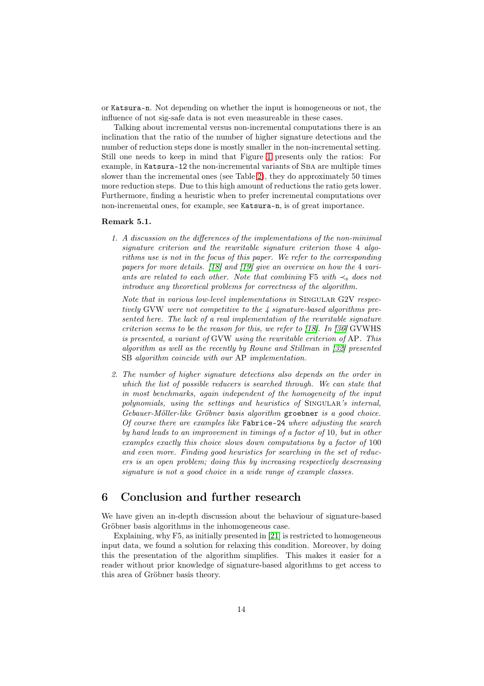or Katsura-n. Not depending on whether the input is homogeneous or not, the influence of not sig-safe data is not even measureable in these cases.

Talking about incremental versus non-incremental computations there is an inclination that the ratio of the number of higher signature detections and the number of reduction steps done is mostly smaller in the non-incremental setting. Still one needs to keep in mind that Figure [1](#page-14-0) presents only the ratios: For example, in Katsura-12 the non-incremental variants of Sba are multiple times slower than the incremental ones (see Table [2\)](#page-12-0), they do approximately 50 times more reduction steps. Due to this high amount of reductions the ratio gets lower. Furthermore, finding a heuristic when to prefer incremental computations over non-incremental ones, for example, see Katsura-n, is of great importance.

#### Remark 5.1.

1. A discussion on the differences of the implementations of the non-minimal signature criterion and the rewritable signature criterion those 4 algorithms use is not in the focus of this paper. We refer to the corresponding papers for more details. [\[18\]](#page-16-4) and [\[19\]](#page-16-7) give an overview on how the 4 variants are related to each other. Note that combining F5 with  $\prec_s$  does not introduce any theoretical problems for correctness of the algorithm.

Note that in various low-level implementations in SINGULAR G2V respectively GVW were not competitive to the 4 signature-based algorithms presented here. The lack of a real implementation of the rewritable signature criterion seems to be the reason for this, we refer to [\[18\]](#page-16-4). In [\[36\]](#page-17-4) GVWHS is presented, a variant of GVW using the rewritable criterion of AP. This algorithm as well as the recently by Roune and Stillman in [\[32\]](#page-17-1) presented SB algorithm coincide with our AP implementation.

2. The number of higher signature detections also depends on the order in which the list of possible reducers is searched through. We can state that in most benchmarks, again independent of the homogeneity of the input polynomials, using the settings and heuristics of SINGULAR's internal, Gebauer-Möller-like Gröbner basis algorithm groebner is a good choice. Of course there are examples like Fabrice-24 where adjusting the search by hand leads to an improvement in timings of a factor of 10, but in other examples exactly this choice slows down computations by a factor of 100 and even more. Finding good heuristics for searching in the set of reducers is an open problem; doing this by increasing respectively descreasing signature is not a good choice in a wide range of example classes.

## <span id="page-13-0"></span>6 Conclusion and further research

We have given an in-depth discussion about the behaviour of signature-based Gröbner basis algorithms in the inhomogeneous case.

Explaining, why F5, as initially presented in [\[21\]](#page-16-1) is restricted to homogeneous input data, we found a solution for relaxing this condition. Moreover, by doing this the presentation of the algorithm simplifies. This makes it easier for a reader without prior knowledge of signature-based algorithms to get access to this area of Gröbner basis theory.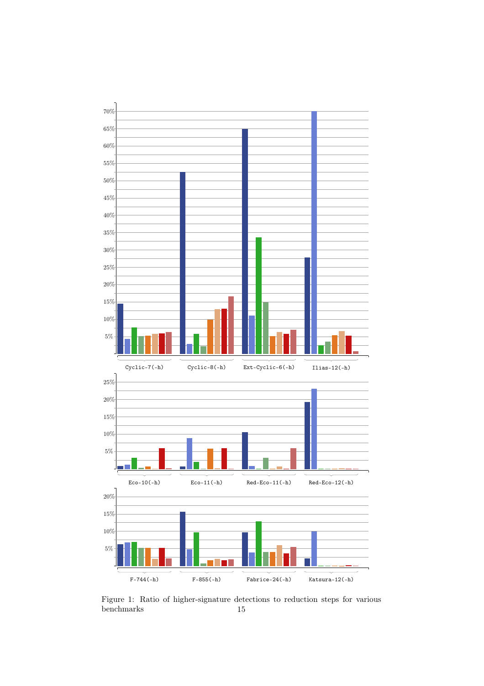

<span id="page-14-0"></span>Figure 1: Ratio of higher-signature detections to reduction steps for various benchmarks 15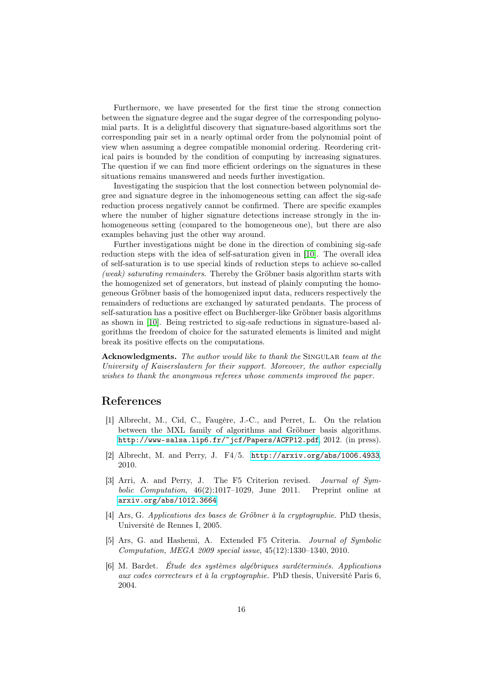Furthermore, we have presented for the first time the strong connection between the signature degree and the sugar degree of the corresponding polynomial parts. It is a delightful discovery that signature-based algorithms sort the corresponding pair set in a nearly optimal order from the polynomial point of view when assuming a degree compatible monomial ordering. Reordering critical pairs is bounded by the condition of computing by increasing signatures. The question if we can find more efficient orderings on the signatures in these situations remains unanswered and needs further investigation.

Investigating the suspicion that the lost connection between polynomial degree and signature degree in the inhomogeneous setting can affect the sig-safe reduction process negatively cannot be confirmed. There are specific examples where the number of higher signature detections increase strongly in the inhomogeneous setting (compared to the homogeneous one), but there are also examples behaving just the other way around.

Further investigations might be done in the direction of combining sig-safe reduction steps with the idea of self-saturation given in [\[10\]](#page-16-3). The overall idea of self-saturation is to use special kinds of reduction steps to achieve so-called (weak) saturating remainders. Thereby the Gröbner basis algorithm starts with the homogenized set of generators, but instead of plainly computing the homogeneous Gröbner basis of the homogenized input data, reducers respectively the remainders of reductions are exchanged by saturated pendants. The process of self-saturation has a positive effect on Buchberger-like Gröbner basis algorithms as shown in [\[10\]](#page-16-3). Being restricted to sig-safe reductions in signature-based algorithms the freedom of choice for the saturated elements is limited and might break its positive effects on the computations.

Acknowledgments. The author would like to thank the SINGULAR team at the University of Kaiserslautern for their support. Moreover, the author especially wishes to thank the anonymous referees whose comments improved the paper.

### References

- [1] Albrecht, M., Cid, C., Faugère, J.-C., and Perret, L. On the relation between the MXL family of algorithms and Gröbner basis algorithms. <http://www-salsa.lip6.fr/~jcf/Papers/ACFP12.pdf>, 2012. (in press).
- <span id="page-15-0"></span>[2] Albrecht, M. and Perry, J. F4/5. <http://arxiv.org/abs/1006.4933>, 2010.
- [3] Arri, A. and Perry, J. The F5 Criterion revised. Journal of Symbolic Computation, 46(2):1017–1029, June 2011. Preprint online at <arxiv.org/abs/1012.3664>.
- [4] Ars, G. Applications des bases de Gröbner à la cryptographie. PhD thesis, Université de Rennes I, 2005.
- [5] Ars, G. and Hashemi, A. Extended F5 Criteria. Journal of Symbolic Computation, MEGA 2009 special issue, 45(12):1330–1340, 2010.
- [6] M. Bardet. Étude des systèmes algébriques surdéterminés. Applications aux codes correcteurs et à la cryptographie. PhD thesis, Université Paris 6, 2004.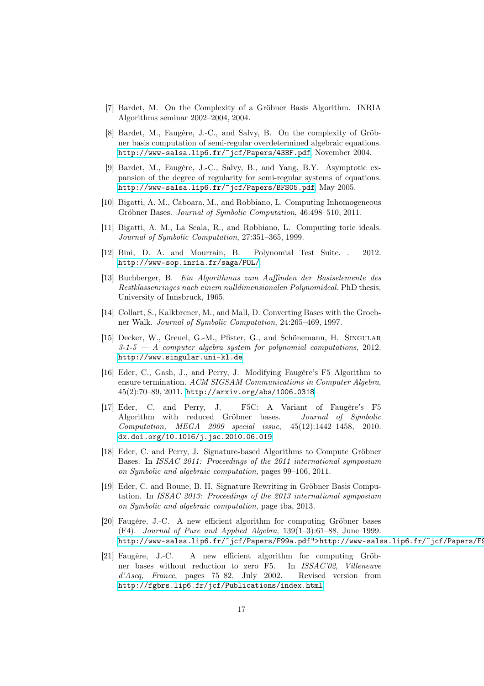- [7] Bardet, M. On the Complexity of a Gröbner Basis Algorithm. INRIA Algorithms seminar 2002–2004, 2004.
- [8] Bardet, M., Faugère, J.-C., and Salvy, B. On the complexity of Gröbner basis computation of semi-regular overdetermined algebraic equations. <http://www-salsa.lip6.fr/~jcf/Papers/43BF.pdf>, November 2004.
- [9] Bardet, M., Faugère, J.-C., Salvy, B., and Yang, B.Y. Asymptotic expansion of the degree of regularity for semi-regular systems of equations. <http://www-salsa.lip6.fr/~jcf/Papers/BFS05.pdf>, May 2005.
- <span id="page-16-3"></span>[10] Bigatti, A. M., Caboara, M., and Robbiano, L. Computing Inhomogeneous Gröbner Bases. Journal of Symbolic Computation, 46:498–510, 2011.
- [11] Bigatti, A. M., La Scala, R., and Robbiano, L. Computing toric ideals. Journal of Symbolic Computation, 27:351–365, 1999.
- <span id="page-16-6"></span>[12] Bini, D. A. and Mourrain, B. Polynomial Test Suite. . 2012. <http://www-sop.inria.fr/saga/POL/>.
- <span id="page-16-0"></span>[13] Buchberger, B. Ein Algorithmus zum Auffinden der Basiselemente des Restklassenringes nach einem nulldimensionalen Polynomideal. PhD thesis, University of Innsbruck, 1965.
- [14] Collart, S., Kalkbrener, M., and Mall, D. Converting Bases with the Groebner Walk. Journal of Symbolic Computation, 24:265–469, 1997.
- [15] Decker, W., Greuel, G.-M., Pfister, G., and Schönemann, H. SINGULAR  $3-1-5$  — A computer algebra system for polynomial computations, 2012. <http://www.singular.uni-kl.de>.
- <span id="page-16-5"></span>[16] Eder, C., Gash, J., and Perry, J. Modifying Faugère's F5 Algorithm to ensure termination. ACM SIGSAM Communications in Computer Algebra, 45(2):70–89, 2011. <http://arxiv.org/abs/1006.0318>.
- <span id="page-16-2"></span>[17] Eder, C. and Perry, J. F5C: A Variant of Faugère's F5 Algorithm with reduced Gröbner bases. Journal of Symbolic Computation, MEGA 2009 special issue, 45(12):1442–1458, 2010. <dx.doi.org/10.1016/j.jsc.2010.06.019>.
- <span id="page-16-4"></span>[18] Eder, C. and Perry, J. Signature-based Algorithms to Compute Gröbner Bases. In ISSAC 2011: Proceedings of the 2011 international symposium on Symbolic and algebraic computation, pages 99–106, 2011.
- <span id="page-16-7"></span>[19] Eder, C. and Roune, B. H. Signature Rewriting in Gröbner Basis Computation. In ISSAC 2013: Proceedings of the 2013 international symposium on Symbolic and algebraic computation, page tba, 2013.
- [20] Faugère, J.-C. A new efficient algorithm for computing Gröbner bases (F4). Journal of Pure and Applied Algebra, 139(1–3):61–88, June 1999. http://www-salsa.lip6.fr/~jcf/Papers/F99a.pdf">http://www-salsa.lip6.fr/~jcf/Papers/F9
- <span id="page-16-1"></span>[21] Faugère, J.-C. A new efficient algorithm for computing Gröbner bases without reduction to zero F5. In ISSAC'02, Villeneuve d'Ascq, France, pages 75–82, July 2002. Revised version from <http://fgbrs.lip6.fr/jcf/Publications/index.html>.